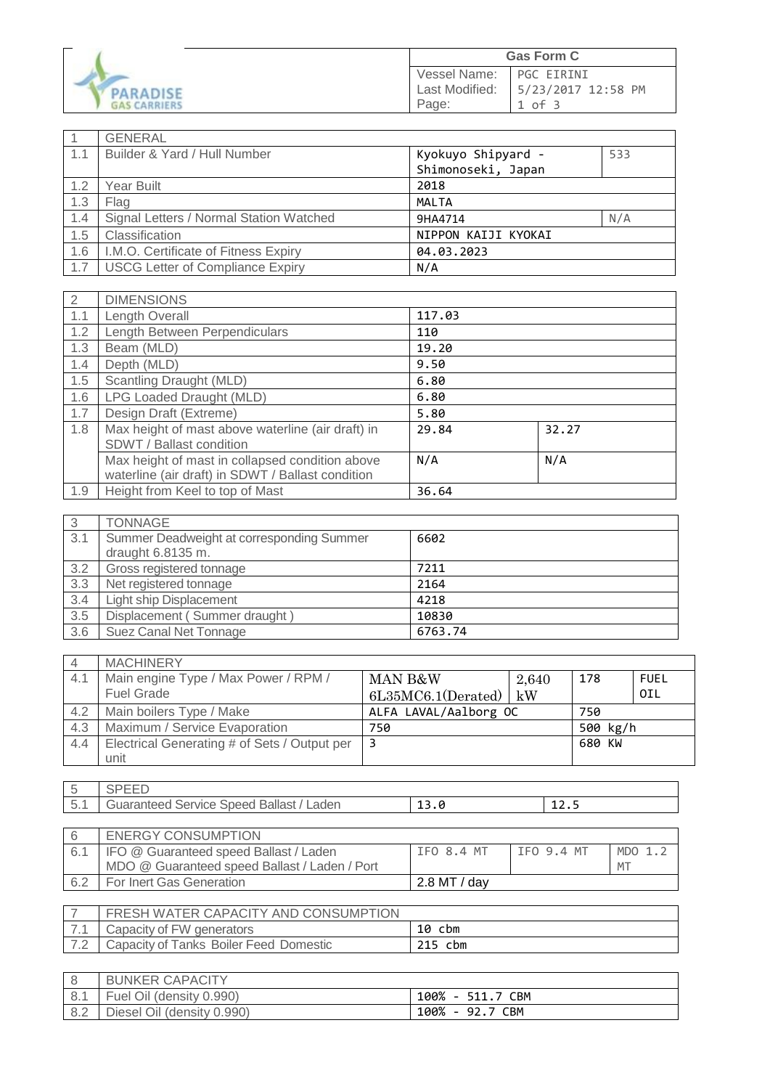|                                        | <b>Gas Form C</b>                       |                                        |
|----------------------------------------|-----------------------------------------|----------------------------------------|
| <b>PARADISE</b><br><b>GAS CARRIERS</b> | Vessel Name:<br>Last Modified:<br>Page: | PGC EIRINI<br>5/23/2017 12:58 PM<br>оf |

|     | GENERAL                                 |                     |     |
|-----|-----------------------------------------|---------------------|-----|
| 1.1 | Builder & Yard / Hull Number            | Kyokuyo Shipyard -  | 533 |
|     |                                         | Shimonoseki, Japan  |     |
| 1.2 | Year Built                              | 2018                |     |
| 1.3 | Flag                                    | MALTA               |     |
| 1.4 | Signal Letters / Normal Station Watched | 9HA4714             | N/A |
| 1.5 | Classification                          | NIPPON KAIJI KYOKAI |     |
| 1.6 | I.M.O. Certificate of Fitness Expiry    | 04.03.2023          |     |
| 1.7 | <b>USCG Letter of Compliance Expiry</b> | N/A                 |     |

| 2   | <b>DIMENSIONS</b>                                                                                    |        |       |
|-----|------------------------------------------------------------------------------------------------------|--------|-------|
| 1.1 | Length Overall                                                                                       | 117.03 |       |
| 1.2 | Length Between Perpendiculars                                                                        | 110    |       |
| 1.3 | Beam (MLD)                                                                                           | 19.20  |       |
| 1.4 | Depth (MLD)                                                                                          | 9.50   |       |
| 1.5 | Scantling Draught (MLD)                                                                              | 6.80   |       |
| 1.6 | LPG Loaded Draught (MLD)                                                                             | 6.80   |       |
| 1.7 | Design Draft (Extreme)                                                                               | 5.80   |       |
| 1.8 | Max height of mast above waterline (air draft) in<br>SDWT / Ballast condition                        | 29.84  | 32.27 |
|     | Max height of mast in collapsed condition above<br>waterline (air draft) in SDWT / Ballast condition | N/A    | N/A   |
| 1.9 | Height from Keel to top of Mast                                                                      | 36.64  |       |

| -3  | <b>TONNAGE</b>                            |         |
|-----|-------------------------------------------|---------|
| 3.1 | Summer Deadweight at corresponding Summer | 6602    |
|     | draught 6.8135 m.                         |         |
| 3.2 | Gross registered tonnage                  | 7211    |
| 3.3 | Net registered tonnage                    | 2164    |
| 3.4 | <b>Light ship Displacement</b>            | 4218    |
| 3.5 | Displacement (Summer draught)             | 10830   |
| 3.6 | Suez Canal Net Tonnage                    | 6763.74 |

| $\overline{4}$ | <b>MACHINERY</b>                             |                       |       |          |             |
|----------------|----------------------------------------------|-----------------------|-------|----------|-------------|
| 4.1            | Main engine Type / Max Power / RPM /         | MAN B&W               | 2,640 | 178      | <b>FUEL</b> |
|                | <b>Fuel Grade</b>                            | 6L35MC6.1(Derated)    | ∣ kW  |          | OIL         |
| 4.2            | Main boilers Type / Make                     | ALFA LAVAL/Aalborg OC |       | 750      |             |
| 4.3            | Maximum / Service Evaporation                | 750                   |       | 500 kg/h |             |
| 4.4            | Electrical Generating # of Sets / Output per |                       |       | 680 KW   |             |
|                | unit                                         |                       |       |          |             |

| $\overline{\phantom{a}}$ |                                                           |     |      |
|--------------------------|-----------------------------------------------------------|-----|------|
| $\sqrt{5}$<br>، ، ب      | <b>Ballast</b><br>Service<br>Laden<br>Guaranteed<br>Speed | ∸~∙ | ---- |

|     | <b>ENERGY CONSUMPTION</b>                     |              |                          |         |
|-----|-----------------------------------------------|--------------|--------------------------|---------|
| 6.1 | IFO @ Guaranteed speed Ballast / Laden        | IFO 8.4 MT   | $\overline{1}$ FO 9.4 MT | MDO 1.3 |
|     | MDO @ Guaranteed speed Ballast / Laden / Port |              |                          | MT      |
| 6.2 | For Inert Gas Generation                      | 2.8 MT / day |                          |         |

|     | FRESH WATER CAPACITY AND CONSUMPTION   |                   |
|-----|----------------------------------------|-------------------|
|     | Capacity of FW generators              | 10<br>cbm         |
| $-$ | Capacity of Tanks Boiler Feed Domestic | <b>DIE</b><br>cbm |

|     | <b>BUNKER CAPACITY</b>     |                                    |
|-----|----------------------------|------------------------------------|
| 8.1 | Fuel Oil (density 0.990)   | 100%<br><b>CBM</b><br>511.7<br>. . |
| 8.2 | Diesel Oil (density 0.990) | 100%<br>- 92.7 CBM                 |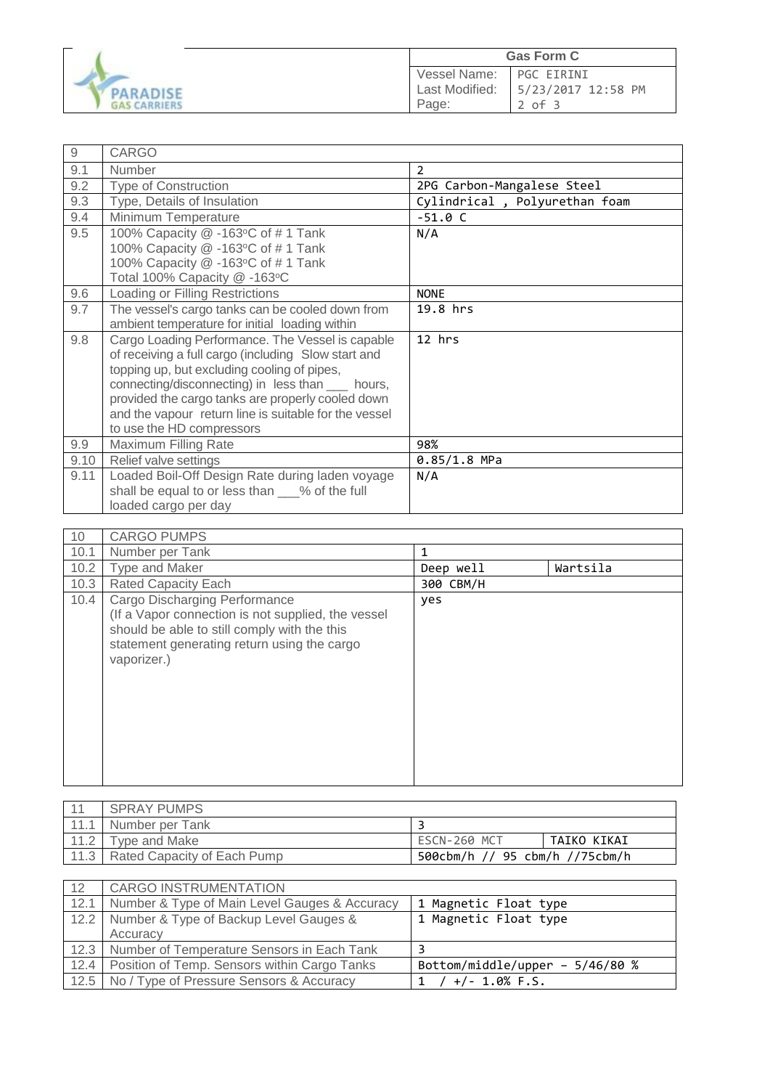

| $\hbox{9}$ | <b>CARGO</b>                                          |                               |
|------------|-------------------------------------------------------|-------------------------------|
| 9.1        | Number                                                | $\overline{2}$                |
| 9.2        | <b>Type of Construction</b>                           | 2PG Carbon-Mangalese Steel    |
| 9.3        | Type, Details of Insulation                           | Cylindrical, Polyurethan foam |
| 9.4        | Minimum Temperature                                   | $-51.0 C$                     |
| 9.5        | 100% Capacity @ -163°C of #1 Tank                     | N/A                           |
|            | 100% Capacity @ -163°C of #1 Tank                     |                               |
|            | 100% Capacity @ -163°C of #1 Tank                     |                               |
|            | Total 100% Capacity @ -163°C                          |                               |
| 9.6        | Loading or Filling Restrictions                       | <b>NONE</b>                   |
| 9.7        | The vessel's cargo tanks can be cooled down from      | 19.8 hrs                      |
|            | ambient temperature for initial loading within        |                               |
| 9.8        | Cargo Loading Performance. The Vessel is capable      | 12 hrs                        |
|            | of receiving a full cargo (including Slow start and   |                               |
|            | topping up, but excluding cooling of pipes,           |                               |
|            | connecting/disconnecting) in less than ____ hours,    |                               |
|            | provided the cargo tanks are properly cooled down     |                               |
|            | and the vapour return line is suitable for the vessel |                               |
|            | to use the HD compressors                             |                               |
| 9.9        | Maximum Filling Rate                                  | 98%                           |
| 9.10       | Relief valve settings                                 | $0.85/1.8$ MPa                |
| 9.11       | Loaded Boil-Off Design Rate during laden voyage       | N/A                           |
|            | shall be equal to or less than ___% of the full       |                               |
|            | loaded cargo per day                                  |                               |

| 10   | <b>CARGO PUMPS</b>                                                                                                                                                                                |           |          |
|------|---------------------------------------------------------------------------------------------------------------------------------------------------------------------------------------------------|-----------|----------|
| 10.1 | Number per Tank                                                                                                                                                                                   | 1         |          |
| 10.2 | Type and Maker                                                                                                                                                                                    | Deep well | Wartsila |
| 10.3 | <b>Rated Capacity Each</b>                                                                                                                                                                        | 300 CBM/H |          |
| 10.4 | Cargo Discharging Performance<br>(If a Vapor connection is not supplied, the vessel<br>should be able to still comply with the this<br>statement generating return using the cargo<br>vaporizer.) | yes       |          |

| $-11$ | <b>SPRAY PUMPS</b>               |                                |             |
|-------|----------------------------------|--------------------------------|-------------|
|       | Number per Tank                  |                                |             |
| 11.2  | Type and Make                    | ESCN-260 MCT                   | TAIKO KIKAI |
|       | 11.3 Rated Capacity of Each Pump | 500cbm/h // 95 cbm/h //75cbm/h |             |

| 12   | CARGO INSTRUMENTATION                                |                                 |
|------|------------------------------------------------------|---------------------------------|
|      | 12.1   Number & Type of Main Level Gauges & Accuracy | 1 Magnetic Float type           |
|      | 12.2 Number & Type of Backup Level Gauges &          | 1 Magnetic Float type           |
|      | Accuracy                                             |                                 |
|      | 12.3 Number of Temperature Sensors in Each Tank      |                                 |
| 12.4 | Position of Temp. Sensors within Cargo Tanks         | Bottom/middle/upper - 5/46/80 % |
|      | 12.5   No / Type of Pressure Sensors & Accuracy      | $+/- 1.0\%$ F.S.                |